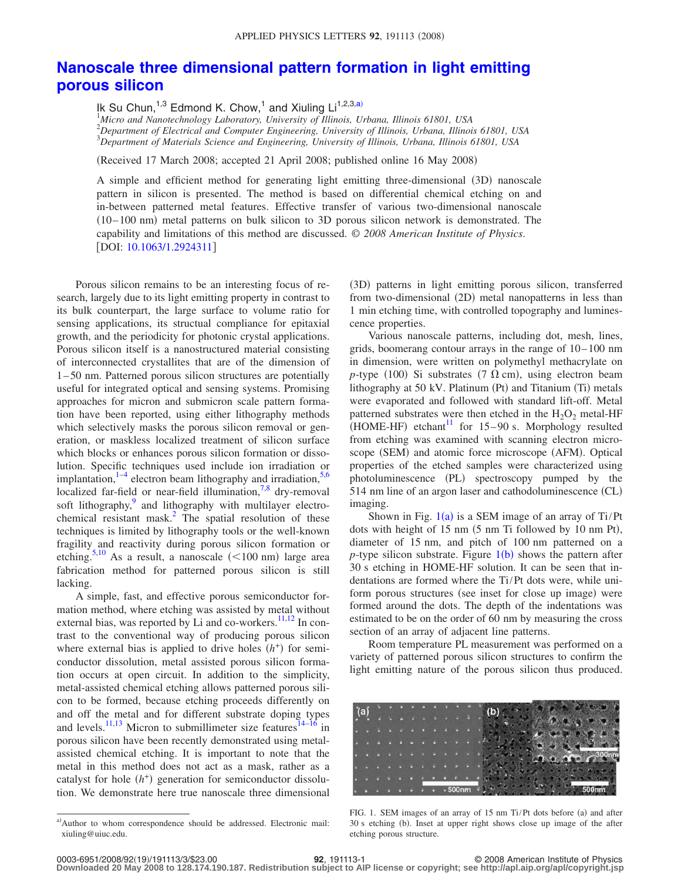## **[Nanoscale three dimensional pattern formation in light emitting](http://dx.doi.org/10.1063/1.2924311) [porous silicon](http://dx.doi.org/10.1063/1.2924311)**

Ik Su Chun,<sup>1,3</sup> Edmond K. Chow,<sup>1</sup> and Xiuling  $Li^{1,2,3,a}$  $Li^{1,2,3,a}$  $Li^{1,2,3,a}$ 

1 *Micro and Nanotechnology Laboratory, University of Illinois, Urbana, Illinois 61801, USA* 2 *Department of Electrical and Computer Engineering, University of Illinois, Urbana, Illinois 61801, USA* 3 *Department of Materials Science and Engineering, University of Illinois, Urbana, Illinois 61801, USA*

(Received 17 March 2008; accepted 21 April 2008; published online 16 May 2008)

A simple and efficient method for generating light emitting three-dimensional (3D) nanoscale pattern in silicon is presented. The method is based on differential chemical etching on and in-between patterned metal features. Effective transfer of various two-dimensional nanoscale (10-100 nm) metal patterns on bulk silicon to 3D porous silicon network is demonstrated. The capability and limitations of this method are discussed. © *2008 American Institute of Physics*. [DOI: [10.1063/1.2924311](http://dx.doi.org/10.1063/1.2924311)]

Porous silicon remains to be an interesting focus of research, largely due to its light emitting property in contrast to its bulk counterpart, the large surface to volume ratio for sensing applications, its structual compliance for epitaxial growth, and the periodicity for photonic crystal applications. Porous silicon itself is a nanostructured material consisting of interconnected crystallites that are of the dimension of 1 – 50 nm. Patterned porous silicon structures are potentially useful for integrated optical and sensing systems. Promising approaches for micron and submicron scale pattern formation have been reported, using either lithography methods which selectively masks the porous silicon removal or generation, or maskless localized treatment of silicon surface which blocks or enhances porous silicon formation or dissolution. Specific techniques used include ion irradiation or implantation, $1-4$  electron beam lithography and irradiation,  $5,6$  $5,6$ localized far-field or near-field illumination, $7.8$  $7.8$  dry-removal soft lithography,<sup>9</sup> and lithography with multilayer electrochemical resistant mask. $^{2}$  The spatial resolution of these techniques is limited by lithography tools or the well-known fragility and reactivity during porous silicon formation or etching.<sup>5[,10](#page-2-8)</sup> As a result, a nanoscale (<100 nm) large area fabrication method for patterned porous silicon is still lacking.

A simple, fast, and effective porous semiconductor formation method, where etching was assisted by metal without external bias, was reported by Li and co-workers. $11,12$  $11,12$  In contrast to the conventional way of producing porous silicon where external bias is applied to drive holes  $(h<sup>+</sup>)$  for semiconductor dissolution, metal assisted porous silicon formation occurs at open circuit. In addition to the simplicity, metal-assisted chemical etching allows patterned porous silicon to be formed, because etching proceeds differently on and off the metal and for different substrate doping types and levels.<sup>11[,13](#page-2-10)</sup> Micron to submillimeter size features<sup>14[–16](#page-2-12)</sup> in porous silicon have been recently demonstrated using metalassisted chemical etching. It is important to note that the metal in this method does not act as a mask, rather as a catalyst for hole  $(h<sup>+</sup>)$  generation for semiconductor dissolution. We demonstrate here true nanoscale three dimensional

(3D) patterns in light emitting porous silicon, transferred from two-dimensional (2D) metal nanopatterns in less than 1 min etching time, with controlled topography and luminescence properties.

Various nanoscale patterns, including dot, mesh, lines, grids, boomerang contour arrays in the range of 10– 100 nm in dimension, were written on polymethyl methacrylate on  $p$ -type (100) Si substrates (7  $\Omega$  cm), using electron beam lithography at 50 kV. Platinum (Pt) and Titanium (Ti) metals were evaporated and followed with standard lift-off. Metal patterned substrates were then etched in the  $H_2O_2$  metal-HF  $(HOME-HF)$  etchant<sup>11</sup> for 15–90 s. Morphology resulted from etching was examined with scanning electron microscope (SEM) and atomic force microscope (AFM). Optical properties of the etched samples were characterized using photoluminescence (PL) spectroscopy pumped by the 514 nm line of an argon laser and cathodoluminescence (CL) imaging.

Shown in Fig.  $1(a)$  $1(a)$  is a SEM image of an array of Ti/Pt dots with height of  $15 \text{ nm}$  (5 nm Ti followed by  $10 \text{ nm}$  Pt), diameter of 15 nm, and pitch of 100 nm patterned on a  $p$ -type silicon substrate. Figure  $1(b)$  $1(b)$  shows the pattern after 30 s etching in HOME-HF solution. It can be seen that indentations are formed where the Ti/Pt dots were, while uniform porous structures (see inset for close up image) were formed around the dots. The depth of the indentations was estimated to be on the order of 60 nm by measuring the cross section of an array of adjacent line patterns.

Room temperature PL measurement was performed on a variety of patterned porous silicon structures to confirm the light emitting nature of the porous silicon thus produced.

<span id="page-0-1"></span>

FIG. 1. SEM images of an array of 15 nm Ti/Pt dots before (a) and after 30 s etching (b). Inset at upper right shows close up image of the after etching porous structure.

<span id="page-0-0"></span>a) Author to whom correspondence should be addressed. Electronic mail: xiuling@uiuc.edu.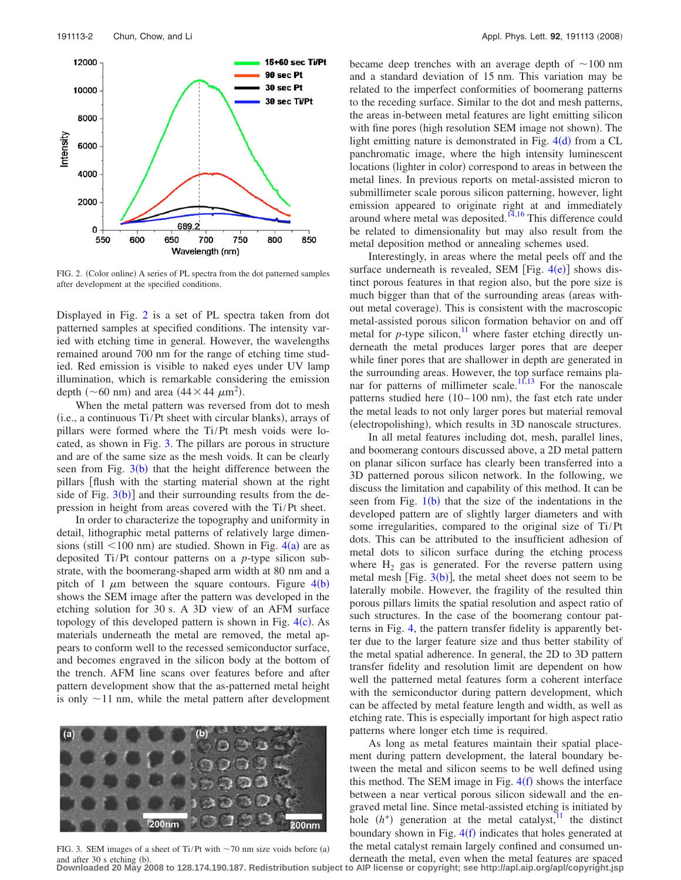<span id="page-1-0"></span>

FIG. 2. (Color online) A series of PL spectra from the dot patterned samples after development at the specified conditions.

Displayed in Fig. [2](#page-1-0) is a set of PL spectra taken from dot patterned samples at specified conditions. The intensity varied with etching time in general. However, the wavelengths remained around 700 nm for the range of etching time studied. Red emission is visible to naked eyes under UV lamp illumination, which is remarkable considering the emission depth ( $\sim$  60 nm) and area (44  $\times$  44  $\mu$ m<sup>2</sup>).

When the metal pattern was reversed from dot to mesh (i.e., a continuous Ti/Pt sheet with circular blanks), arrays of pillars were formed where the Ti/Pt mesh voids were located, as shown in Fig. [3.](#page-1-1) The pillars are porous in structure and are of the same size as the mesh voids. It can be clearly seen from Fig.  $3(b)$  $3(b)$  $3(b)$  that the height difference between the pillars [flush with the starting material shown at the right side of Fig.  $3(b)$  $3(b)$ ] and their surrounding results from the depression in height from areas covered with the Ti/Pt sheet.

In order to characterize the topography and uniformity in detail, lithographic metal patterns of relatively large dimensions (still  $\leq 100$  nm) are studied. Shown in Fig. [4](#page-2-13)(a) are as deposited Ti/Pt contour patterns on a *p*-type silicon substrate, with the boomerang-shaped arm width at 80 nm and a pitch of 1  $\mu$ m between the square contours. Figure [4](#page-2-13)(b) shows the SEM image after the pattern was developed in the etching solution for 30 s. A 3D view of an AFM surface topology of this developed pattern is shown in Fig.  $4(c)$  $4(c)$ . As materials underneath the metal are removed, the metal appears to conform well to the recessed semiconductor surface, and becomes engraved in the silicon body at the bottom of the trench. AFM line scans over features before and after pattern development show that the as-patterned metal height is only  $\sim$ 11 nm, while the metal pattern after development

<span id="page-1-1"></span>

FIG. 3. SEM images of a sheet of Ti/Pt with  $\sim$  70 nm size voids before (a) and after  $30$  s etching  $(b)$ .

became deep trenches with an average depth of  $\sim 100$  nm and a standard deviation of 15 nm. This variation may be related to the imperfect conformities of boomerang patterns to the receding surface. Similar to the dot and mesh patterns, the areas in-between metal features are light emitting silicon with fine pores (high resolution SEM image not shown). The light emitting nature is demonstrated in Fig.  $4(d)$  $4(d)$  from a CL panchromatic image, where the high intensity luminescent locations (lighter in color) correspond to areas in between the metal lines. In previous reports on metal-assisted micron to submillimeter scale porous silicon patterning, however, light emission appeared to originate right at and immediately around where metal was deposited. $14,16$  $14,16$  This difference could be related to dimensionality but may also result from the metal deposition method or annealing schemes used.

Interestingly, in areas where the metal peels off and the surface underneath is revealed, SEM [Fig.  $4(e)$  $4(e)$ ] shows distinct porous features in that region also, but the pore size is much bigger than that of the surrounding areas (areas without metal coverage). This is consistent with the macroscopic metal-assisted porous silicon formation behavior on and off metal for  $p$ -type silicon,<sup>11</sup> where faster etching directly underneath the metal produces larger pores that are deeper while finer pores that are shallower in depth are generated in the surrounding areas. However, the top surface remains pla-nar for patterns of millimeter scale.<sup>11[,13](#page-2-10)</sup> For the nanoscale patterns studied here (10-100 nm), the fast etch rate under the metal leads to not only larger pores but material removal (electropolishing), which results in 3D nanoscale structures.

In all metal features including dot, mesh, parallel lines, and boomerang contours discussed above, a 2D metal pattern on planar silicon surface has clearly been transferred into a 3D patterned porous silicon network. In the following, we discuss the limitation and capability of this method. It can be seen from Fig.  $1(b)$  $1(b)$  that the size of the indentations in the developed pattern are of slightly larger diameters and with some irregularities, compared to the original size of Ti/Pt dots. This can be attributed to the insufficient adhesion of metal dots to silicon surface during the etching process where  $H_2$  gas is generated. For the reverse pattern using metal mesh [Fig.  $3(b)$  $3(b)$ ], the metal sheet does not seem to be laterally mobile. However, the fragility of the resulted thin porous pillars limits the spatial resolution and aspect ratio of such structures. In the case of the boomerang contour patterns in Fig. [4,](#page-2-13) the pattern transfer fidelity is apparently better due to the larger feature size and thus better stability of the metal spatial adherence. In general, the 2D to 3D pattern transfer fidelity and resolution limit are dependent on how well the patterned metal features form a coherent interface with the semiconductor during pattern development, which can be affected by metal feature length and width, as well as etching rate. This is especially important for high aspect ratio patterns where longer etch time is required.

As long as metal features maintain their spatial placement during pattern development, the lateral boundary between the metal and silicon seems to be well defined using this method. The SEM image in Fig.  $4(f)$  $4(f)$  shows the interface between a near vertical porous silicon sidewall and the engraved metal line. Since metal-assisted etching is initiated by hole  $(h^+)$  generation at the metal catalyst,<sup>11</sup> the distinct boundary shown in Fig.  $4(f)$  $4(f)$  indicates that holes generated at the metal catalyst remain largely confined and consumed un-

derneath the metal, even when the metal features are spaced and after 30 s etching (b).<br>Downloaded 20 May 2008 to 128.174.190.187. Redistribution subject to AIP license or copyright; see http://apl.aip.org/apl/copyright.jsp